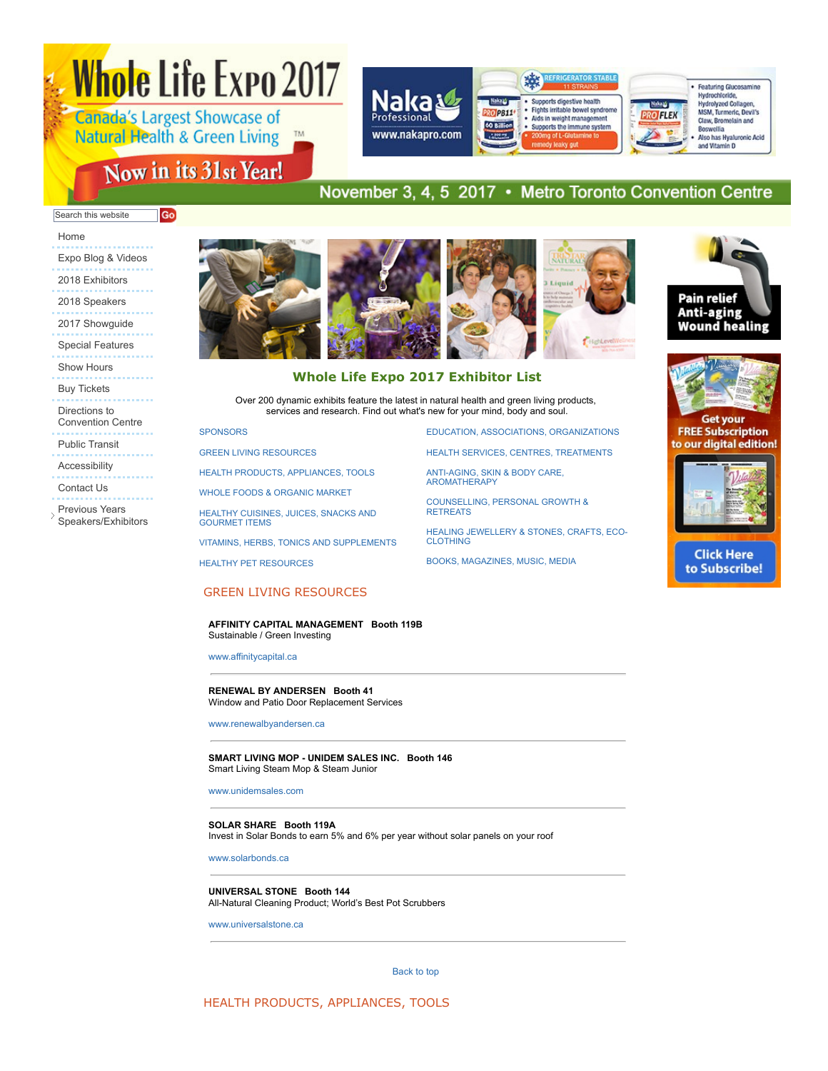# Whole Life Expo 2017

**Canada's Largest Showcase of Natural Health & Green Living TM** 

# Now in its 31st Year!



# November 3, 4, 5 2017 • Metro Toronto Convention Centre

#### Search this website Go

# Home

Expo Blog & Videos 2018 Exhibitors 2018 Speakers 2017 Showguide Special Features Show Hours Buy Tickets Directions to Convention Centre Public Transit Accessibility Contact Us

Previous Years

Ď Speakers/Exhibitors





Over 200 dynamic exhibits feature the latest in natural health and green living products, services and research. Find out what's new for your mind, body and soul.

#### **SPONSORS**

GREEN LIVING RESOURCES

HEALTH PRODUCTS, APPLIANCES, TOOLS

WHOLE FOODS & ORGANIC MARKET

HEALTHY CUISINES, JUICES, SNACKS AND GOURMET ITEMS

VITAMINS, HERBS, TONICS AND SUPPLEMENTS

HEALTHY PET RESOURCES

EDUCATION, ASSOCIATIONS, ORGANIZATIONS

HEALTH SERVICES, CENTRES, TREATMENTS

ANTIAGING, SKIN & BODY CARE, AROMATHERAPY

COUNSELLING, PERSONAL GROWTH & **RETREATS** 

HEALING JEWELLERY & STONES, CRAFTS, ECO-**CLOTHING** 

BOOKS, MAGAZINES, MUSIC, MEDIA





**FREE Subscription** to our digital edition!



**Click Here** to Subscribe!

# GREEN LIVING RESOURCES

**AFFINITY CAPITAL MANAGEMENT Booth 119B** Sustainable / Green Investing

www.affinitycapital.ca

#### **RENEWAL BY ANDERSEN Booth 41** Window and Patio Door Replacement Services

www.renewalbyandersen.ca

**SMART LIVING MOP - UNIDEM SALES INC. Booth 146** Smart Living Steam Mop & Steam Junior

www.unidemsales.com

#### **SOLAR SHARE Booth 119A**

Invest in Solar Bonds to earn 5% and 6% per year without solar panels on your roof

www.solarbonds.ca

**UNIVERSAL STONE Booth 144** All-Natural Cleaning Product; World's Best Pot Scrubbers

www.universalstone.ca

Back to top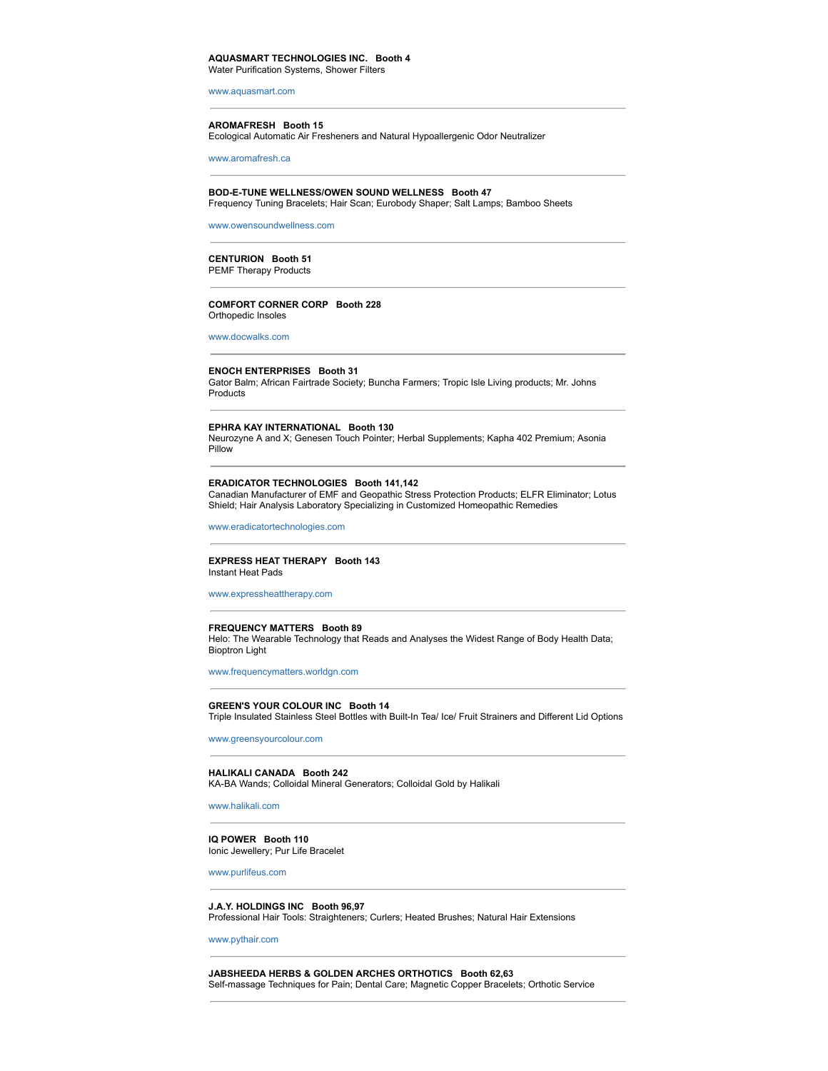# **AQUASMART TECHNOLOGIES INC. Booth 4**

Water Purification Systems, Shower Filters

www.aquasmart.com

#### **AROMAFRESH Booth 15**

Ecological Automatic Air Fresheners and Natural Hypoallergenic Odor Neutralizer

www.aromafresh.ca

#### **BOD-E-TUNE WELLNESS/OWEN SOUND WELLNESS Booth 47**

Frequency Tuning Bracelets; Hair Scan; Eurobody Shaper; Salt Lamps; Bamboo Sheets

www.owensoundwellness.com

#### **CENTURION Booth 51**

PEMF Therapy Products

#### **COMFORT CORNER CORP Booth 228** Orthopedic Insoles

www.docwalks.com

#### **ENOCH ENTERPRISES Booth 31**

Gator Balm; African Fairtrade Society; Buncha Farmers; Tropic Isle Living products; Mr. Johns Products

#### **EPHRA KAY INTERNATIONAL Booth 130**

Neurozyne A and X; Genesen Touch Pointer; Herbal Supplements; Kapha 402 Premium; Asonia Pillow

# **ERADICATOR TECHNOLOGIES Booth 141,142**

Canadian Manufacturer of EMF and Geopathic Stress Protection Products; ELFR Eliminator; Lotus Shield; Hair Analysis Laboratory Specializing in Customized Homeopathic Remedies

www.eradicatortechnologies.com

#### **EXPRESS HEAT THERAPY Booth 143** Instant Heat Pads

www.expressheattherapy.com

#### **FREQUENCY MATTERS Booth 89**

Helo: The Wearable Technology that Reads and Analyses the Widest Range of Body Health Data; Bioptron Light

www.frequencymatters.worldgn.com

#### **GREEN'S YOUR COLOUR INC Booth 14**

Triple Insulated Stainless Steel Bottles with Built-In Tea/ Ice/ Fruit Strainers and Different Lid Options

www.greensyourcolour.com

# **HALIKALI CANADA Booth 242**

KA-BA Wands; Colloidal Mineral Generators; Colloidal Gold by Halikali

www.halikali.com

# **IQ POWER Booth 110**

Ionic Jewellery; Pur Life Bracelet

www.purlifeus.com

#### **J.A.Y. HOLDINGS INC Booth 96,97** Professional Hair Tools: Straighteners; Curlers; Heated Brushes; Natural Hair Extensions

www.pythair.com

**JABSHEEDA HERBS & GOLDEN ARCHES ORTHOTICS Booth 62,63** Self-massage Techniques for Pain; Dental Care; Magnetic Copper Bracelets; Orthotic Service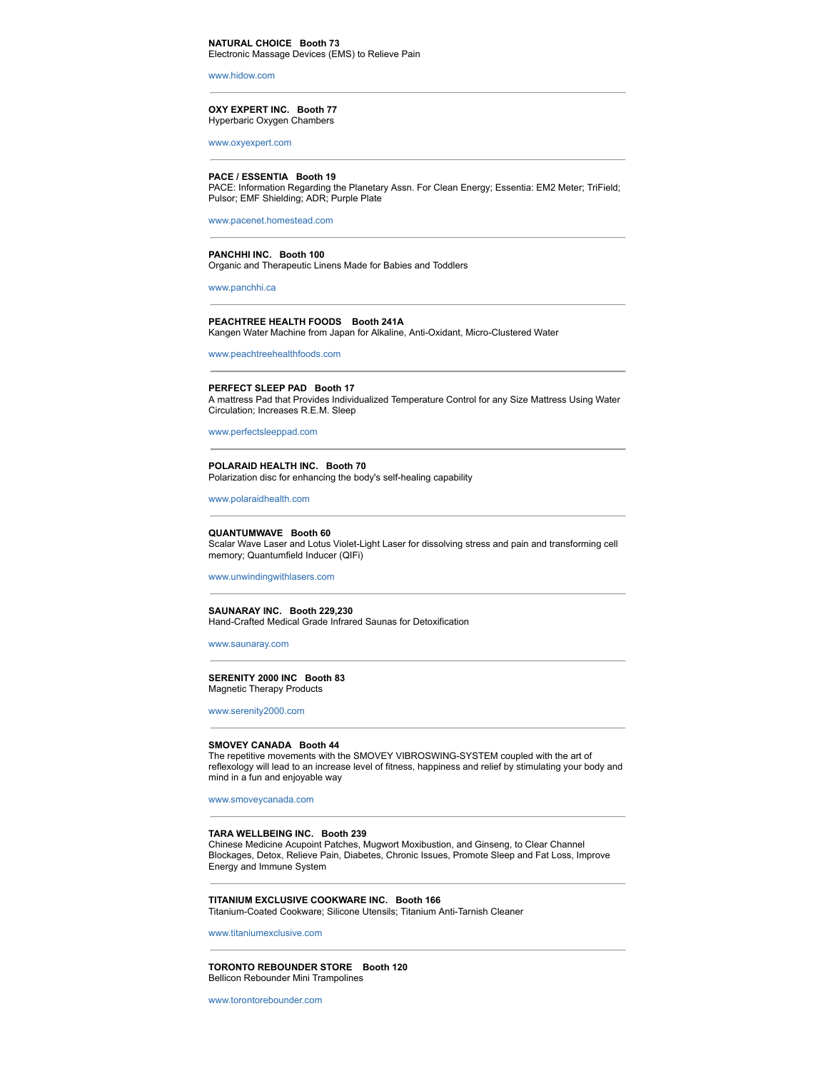www.hidow.com

**OXY EXPERT INC. Booth 77** Hyperbaric Oxygen Chambers

www.oxyexpert.com

# **PACE / ESSENTIA Booth 19**

PACE: Information Regarding the Planetary Assn. For Clean Energy; Essentia: EM2 Meter; TriField; Pulsor; EMF Shielding; ADR; Purple Plate

www.pacenet.homestead.com

#### **PANCHHI INC. Booth 100**

Organic and Therapeutic Linens Made for Babies and Toddlers

www.panchhi.ca

#### **PEACHTREE HEALTH FOODS Booth 241A** Kangen Water Machine from Japan for Alkaline, Anti-Oxidant, Micro-Clustered Water

www.peachtreehealthfoods.com

#### **PERFECT SLEEP PAD Booth 17**

A mattress Pad that Provides Individualized Temperature Control for any Size Mattress Using Water Circulation; Increases R.E.M. Sleep

www.perfectsleeppad.com

#### **POLARAID HEALTH INC. Booth 70** Polarization disc for enhancing the body's self-healing capability

www.polaraidhealth.com

#### **QUANTUMWAVE Booth 60**

Scalar Wave Laser and Lotus Violet-Light Laser for dissolving stress and pain and transforming cell memory; Quantumfield Inducer (QIFi)

www.unwindingwithlasers.com

#### **SAUNARAY INC. Booth 229,230** Hand-Crafted Medical Grade Infrared Saunas for Detoxification

www.saunaray.com

#### **SERENITY 2000 INC Booth 83** Magnetic Therapy Products

www.serenity2000.com

#### **SMOVEY CANADA Booth 44**

The repetitive movements with the SMOVEY VIBROSWING-SYSTEM coupled with the art of reflexology will lead to an increase level of fitness, happiness and relief by stimulating your body and mind in a fun and enjoyable way

www.smoveycanada.com

#### **TARA WELLBEING INC. Booth 239**

Chinese Medicine Acupoint Patches, Mugwort Moxibustion, and Ginseng, to Clear Channel Blockages, Detox, Relieve Pain, Diabetes, Chronic Issues, Promote Sleep and Fat Loss, Improve Energy and Immune System

#### **TITANIUM EXCLUSIVE COOKWARE INC. Booth 166** Titanium-Coated Cookware; Silicone Utensils; Titanium Anti-Tarnish Cleaner

www.titaniumexclusive.com

#### **TORONTO REBOUNDER STORE Booth 120** Bellicon Rebounder Mini Trampolines

www.torontorebounder.com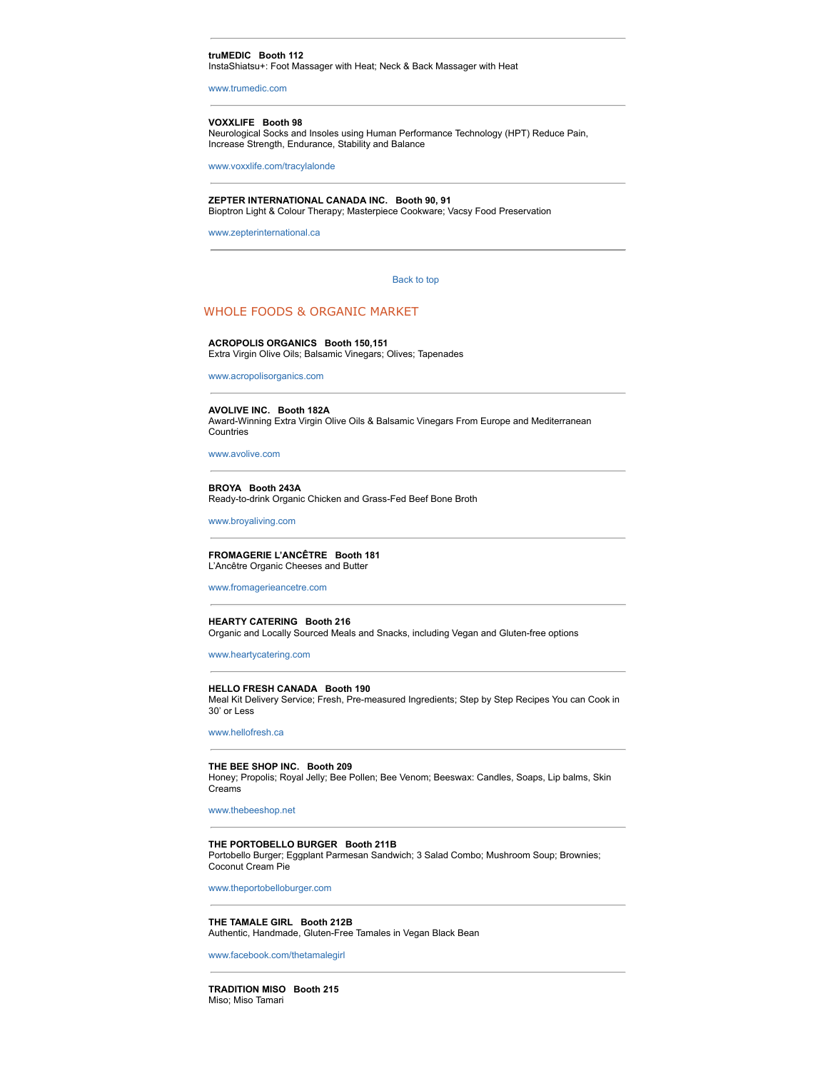#### **truMEDIC Booth 112**

InstaShiatsu+: Foot Massager with Heat; Neck & Back Massager with Heat

www.trumedic.com

#### **VOXXLIFE Booth 98**

Neurological Socks and Insoles using Human Performance Technology (HPT) Reduce Pain, Increase Strength, Endurance, Stability and Balance

www.voxxlife.com/tracylalonde

#### **ZEPTER INTERNATIONAL CANADA INC. Booth 90, 91**

Bioptron Light & Colour Therapy; Masterpiece Cookware; Vacsy Food Preservation

www.zepterinternational.ca

#### Back to top

# WHOLE FOODS & ORGANIC MARKET

#### **ACROPOLIS ORGANICS Booth 150,151**

Extra Virgin Olive Oils; Balsamic Vinegars; Olives; Tapenades

www.acropolisorganics.com

#### **AVOLIVE INC. Booth 182A**

Award-Winning Extra Virgin Olive Oils & Balsamic Vinegars From Europe and Mediterranean Countries

www.avolive.com

#### **BROYA Booth 243A** Ready-to-drink Organic Chicken and Grass-Fed Beef Bone Broth

www.broyaliving.com

#### **FROMAGERIE L'ANCÊTRE Booth 181** L'Ancêtre Organic Cheeses and Butter

www.fromagerieancetre.com

#### **HEARTY CATERING Booth 216** Organic and Locally Sourced Meals and Snacks, including Vegan and Gluten-free options

www.heartycatering.com

#### **HELLO FRESH CANADA Booth 190**

Meal Kit Delivery Service; Fresh, Pre-measured Ingredients; Step by Step Recipes You can Cook in 30' or Less

www.hellofresh.ca

#### **THE BEE SHOP INC. Booth 209**

Honey; Propolis; Royal Jelly; Bee Pollen; Bee Venom; Beeswax: Candles, Soaps, Lip balms, Skin Creams

www.thebeeshop.net

#### **THE PORTOBELLO BURGER Booth 211B**

Portobello Burger; Eggplant Parmesan Sandwich; 3 Salad Combo; Mushroom Soup; Brownies; Coconut Cream Pie

www.theportobelloburger.com

**THE TAMALE GIRL Booth 212B** Authentic, Handmade, Gluten-Free Tamales in Vegan Black Bean

www.facebook.com/thetamalegirl

**TRADITION MISO Booth 215** Miso; Miso Tamari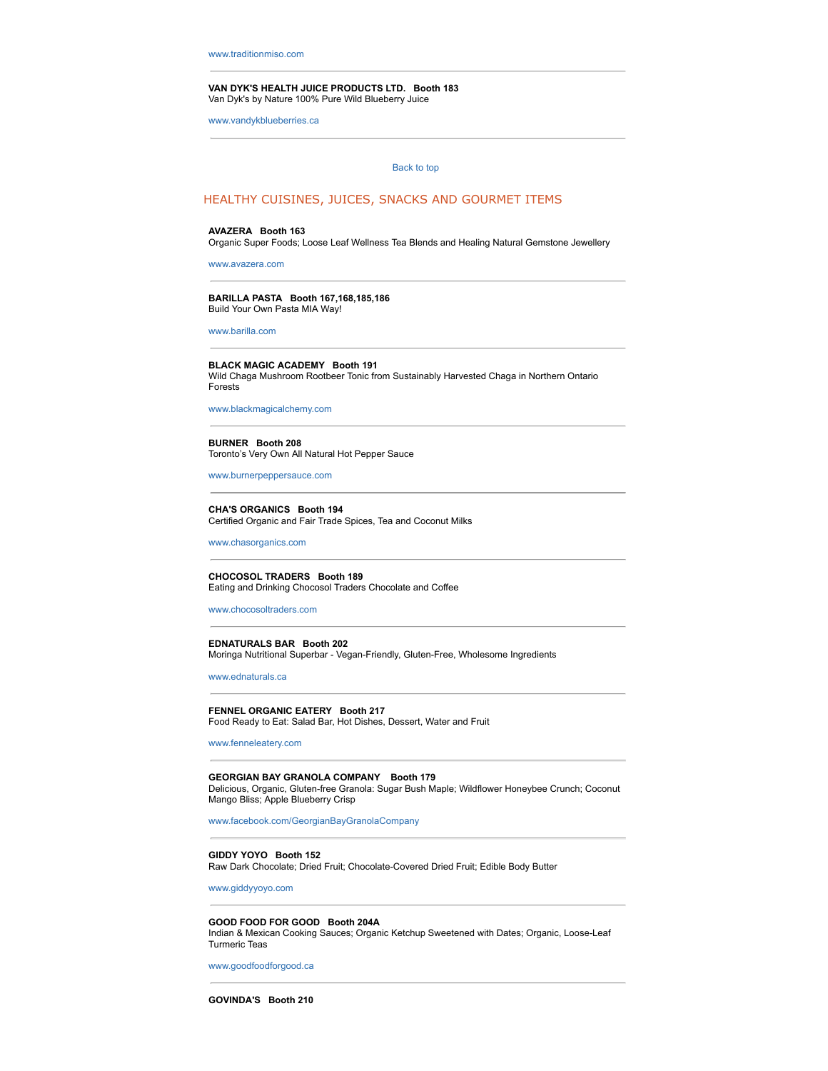**VAN DYK'S HEALTH JUICE PRODUCTS LTD. Booth 183** Van Dyk's by Nature 100% Pure Wild Blueberry Juice

www.vandykblueberries.ca

#### Back to top

# HEALTHY CUISINES, JUICES, SNACKS AND GOURMET ITEMS

#### **AVAZERA Booth 163**

Organic Super Foods; Loose Leaf Wellness Tea Blends and Healing Natural Gemstone Jewellery

www.avazera.com

#### **BARILLA PASTA Booth 167,168,185,186** Build Your Own Pasta MIA Way!

www.barilla.com

# **BLACK MAGIC ACADEMY Booth 191**

Wild Chaga Mushroom Rootbeer Tonic from Sustainably Harvested Chaga in Northern Ontario Forests

www.blackmagicalchemy.com

#### **BURNER Booth 208**

Toronto's Very Own All Natural Hot Pepper Sauce

www.burnerpeppersauce.com

#### **CHA'S ORGANICS Booth 194**

Certified Organic and Fair Trade Spices, Tea and Coconut Milks

www.chasorganics.com

**CHOCOSOL TRADERS Booth 189** Eating and Drinking Chocosol Traders Chocolate and Coffee

www.chocosoltraders.com

#### **EDNATURALS BAR Booth 202**

Moringa Nutritional Superbar - Vegan-Friendly, Gluten-Free, Wholesome Ingredients

www.ednaturals.ca

#### **FENNEL ORGANIC EATERY Booth 217** Food Ready to Eat: Salad Bar, Hot Dishes, Dessert, Water and Fruit

www.fenneleatery.com

# **GEORGIAN BAY GRANOLA COMPANY Booth 179**

Delicious, Organic, Gluten-free Granola: Sugar Bush Maple; Wildflower Honeybee Crunch; Coconut Mango Bliss; Apple Blueberry Crisp

www.facebook.com/GeorgianBayGranolaCompany

**GIDDY YOYO Booth 152** Raw Dark Chocolate; Dried Fruit; Chocolate-Covered Dried Fruit; Edible Body Butter

www.giddyyoyo.com

#### **GOOD FOOD FOR GOOD Booth 204A**

Indian & Mexican Cooking Sauces; Organic Ketchup Sweetened with Dates; Organic, LooseLeaf Turmeric Teas

www.goodfoodforgood.ca

**GOVINDA'S Booth 210**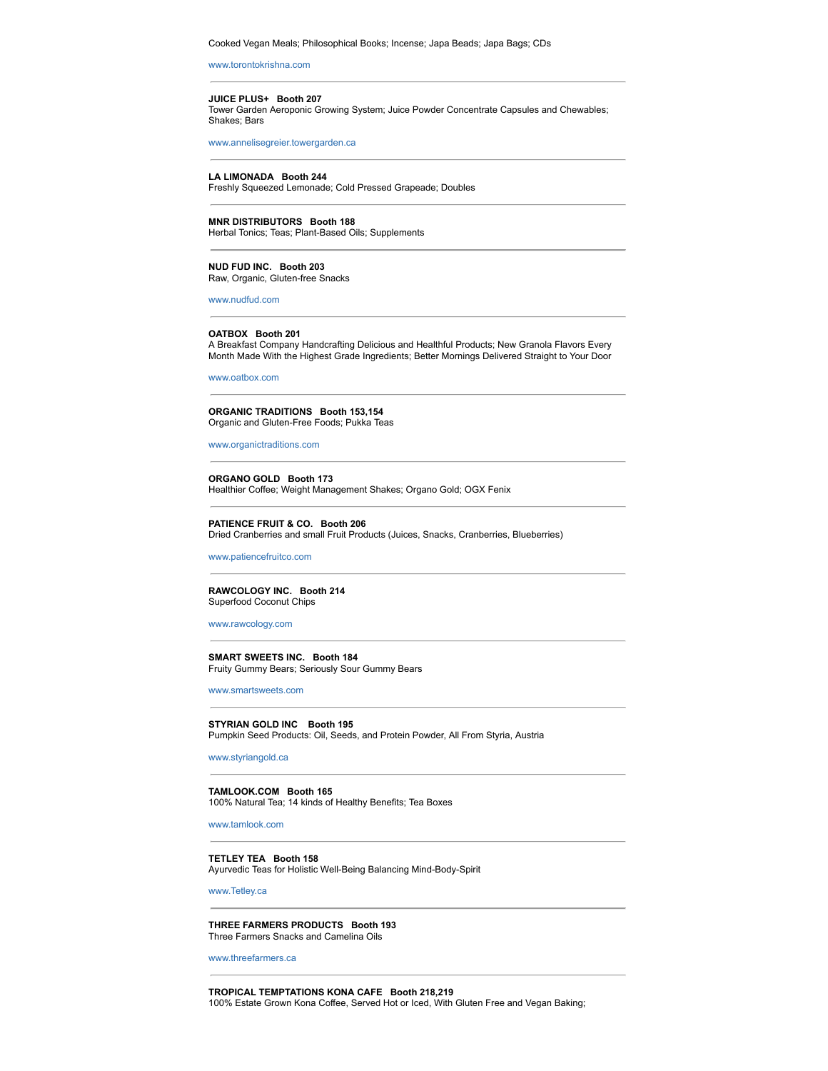Cooked Vegan Meals; Philosophical Books; Incense; Japa Beads; Japa Bags; CDs

www.torontokrishna.com

#### **JUICE PLUS+ Booth 207**

Tower Garden Aeroponic Growing System; Juice Powder Concentrate Capsules and Chewables; Shakes; Bars

www.annelisegreier.towergarden.ca

#### **LA LIMONADA Booth 244**

Freshly Squeezed Lemonade; Cold Pressed Grapeade; Doubles

#### **MNR DISTRIBUTORS Booth 188**

Herbal Tonics; Teas; Plant-Based Oils; Supplements

#### **NUD FUD INC. Booth 203** Raw, Organic, Gluten-free Snacks

www.nudfud.com

#### **OATBOX Booth 201**

A Breakfast Company Handcrafting Delicious and Healthful Products; New Granola Flavors Every Month Made With the Highest Grade Ingredients; Better Mornings Delivered Straight to Your Door

www.oatbox.com

#### **ORGANIC TRADITIONS Booth 153,154** Organic and Gluten-Free Foods; Pukka Teas

www.organictraditions.com

#### **ORGANO GOLD Booth 173**

Healthier Coffee; Weight Management Shakes; Organo Gold; OGX Fenix

#### **PATIENCE FRUIT & CO. Booth 206**

Dried Cranberries and small Fruit Products (Juices, Snacks, Cranberries, Blueberries)

www.patiencefruitco.com

#### **RAWCOLOGY INC. Booth 214** Superfood Coconut Chips

#### www.rawcology.com

**SMART SWEETS INC. Booth 184** Fruity Gummy Bears; Seriously Sour Gummy Bears

www.smartsweets.com

#### **STYRIAN GOLD INC Booth 195**

Pumpkin Seed Products: Oil, Seeds, and Protein Powder, All From Styria, Austria

www.styriangold.ca

#### **TAMLOOK.COM Booth 165**

100% Natural Tea; 14 kinds of Healthy Benefits; Tea Boxes

www.tamlook.com

#### **TETLEY TEA Booth 158**

Ayurvedic Teas for Holistic Well-Being Balancing Mind-Body-Spirit

www.Tetley.ca

#### **THREE FARMERS PRODUCTS Booth 193** Three Farmers Snacks and Camelina Oils

www.threefarmers.ca

#### **TROPICAL TEMPTATIONS KONA CAFE Booth 218,219** 100% Estate Grown Kona Coffee, Served Hot or Iced, With Gluten Free and Vegan Baking;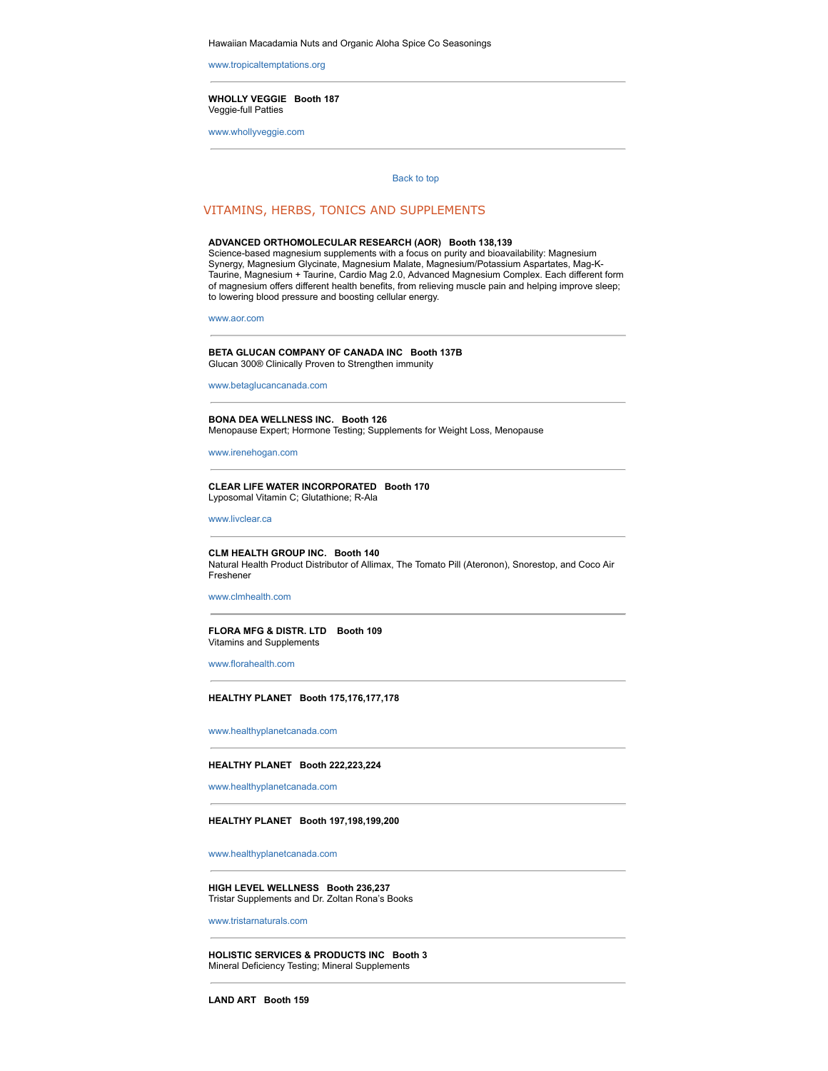Hawaiian Macadamia Nuts and Organic Aloha Spice Co Seasonings

www.tropicaltemptations.org

#### **WHOLLY VEGGIE Booth 187** Veggie-full Patties

www.whollyveggie.com

#### Back to top

# VITAMINS, HERBS, TONICS AND SUPPLEMENTS

#### **ADVANCED ORTHOMOLECULAR RESEARCH (AOR) Booth 138,139**

Science-based magnesium supplements with a focus on purity and bioavailability: Magnesium Synergy, Magnesium Glycinate, Magnesium Malate, Magnesium/Potassium Aspartates, Mag-K-Taurine, Magnesium + Taurine, Cardio Mag 2.0, Advanced Magnesium Complex. Each different form of magnesium offers different health benefits, from relieving muscle pain and helping improve sleep; to lowering blood pressure and boosting cellular energy.

www.aor.com

#### **BETA GLUCAN COMPANY OF CANADA INC Booth 137B** Glucan 300® Clinically Proven to Strengthen immunity

www.betaglucancanada.com

# **BONA DEA WELLNESS INC. Booth 126**

Menopause Expert; Hormone Testing; Supplements for Weight Loss, Menopause

www.irenehogan.com

#### **CLEAR LIFE WATER INCORPORATED Booth 170** Lyposomal Vitamin C; Glutathione; R-Ala

www.livclear.ca

#### **CLM HEALTH GROUP INC. Booth 140**

Natural Health Product Distributor of Allimax, The Tomato Pill (Ateronon), Snorestop, and Coco Air Freshener

www.clmhealth.com

#### **FLORA MFG & DISTR. LTD Booth 109** Vitamins and Supplements

www.florahealth.com

#### **HEALTHY PLANET Booth 175,176,177,178**

www.healthyplanetcanada.com

#### **HEALTHY PLANET Booth 222,223,224**

www.healthyplanetcanada.com

#### **HEALTHY PLANET Booth 197,198,199,200**

www.healthyplanetcanada.com

#### **HIGH LEVEL WELLNESS Booth 236,237** Tristar Supplements and Dr. Zoltan Rona's Books

www.tristarnaturals.com

#### **HOLISTIC SERVICES & PRODUCTS INC Booth 3** Mineral Deficiency Testing; Mineral Supplements

**LAND ART Booth 159**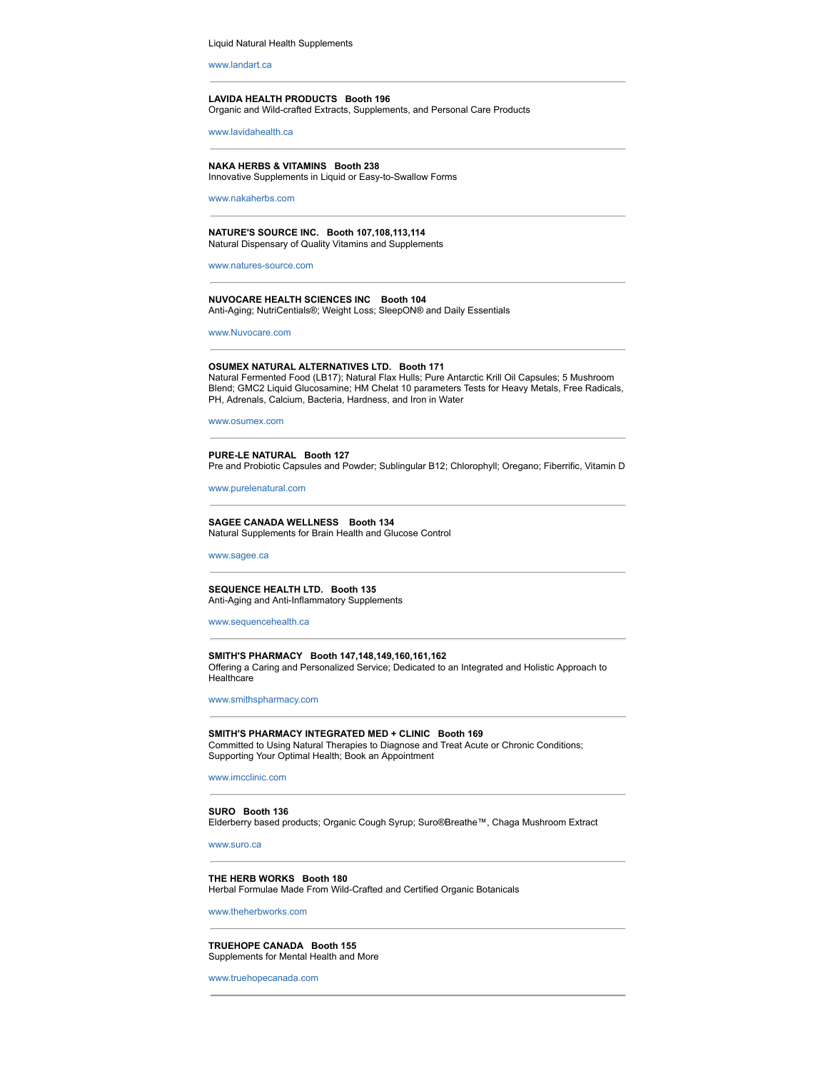Liquid Natural Health Supplements

www.landart.ca

#### **LAVIDA HEALTH PRODUCTS Booth 196**

Organic and Wild-crafted Extracts, Supplements, and Personal Care Products

www.lavidahealth.ca

# **NAKA HERBS & VITAMINS Booth 238**

Innovative Supplements in Liquid or Easy-to-Swallow Forms

www.nakaherbs.com

# **NATURE'S SOURCE INC. Booth 107,108,113,114**

Natural Dispensary of Quality Vitamins and Supplements

www.natures-source.com

#### **NUVOCARE HEALTH SCIENCES INC Booth 104** Anti-Aging; NutriCentials®; Weight Loss; SleepON® and Daily Essentials

www.Nuvocare.com

#### **OSUMEX NATURAL ALTERNATIVES LTD. Booth 171**

Natural Fermented Food (LB17); Natural Flax Hulls; Pure Antarctic Krill Oil Capsules; 5 Mushroom Blend; GMC2 Liquid Glucosamine; HM Chelat 10 parameters Tests for Heavy Metals, Free Radicals, PH, Adrenals, Calcium, Bacteria, Hardness, and Iron in Water

www.osumex.com

#### **PURELE NATURAL Booth 127** Pre and Probiotic Capsules and Powder; Sublingular B12; Chlorophyll; Oregano; Fiberrific, Vitamin D

www.purelenatural.com

#### **SAGEE CANADA WELLNESS Booth 134** Natural Supplements for Brain Health and Glucose Control

www.sagee.ca

#### **SEQUENCE HEALTH LTD. Booth 135** Anti-Aging and Anti-Inflammatory Supplements

www.sequencehealth.ca

#### **SMITH'S PHARMACY Booth 147,148,149,160,161,162** Offering a Caring and Personalized Service; Dedicated to an Integrated and Holistic Approach to Healthcare

www.smithspharmacy.com

**SMITH'S PHARMACY INTEGRATED MED + CLINIC Booth 169** Committed to Using Natural Therapies to Diagnose and Treat Acute or Chronic Conditions; Supporting Your Optimal Health; Book an Appointment

www.imcclinic.com

#### **SURO Booth 136** Elderberry based products; Organic Cough Syrup; Suro®Breathe™, Chaga Mushroom Extract

www.suro.ca

#### **THE HERB WORKS Booth 180** Herbal Formulae Made From Wild-Crafted and Certified Organic Botanicals

www.theherbworks.com

#### **TRUEHOPE CANADA Booth 155** Supplements for Mental Health and More

www.truehopecanada.com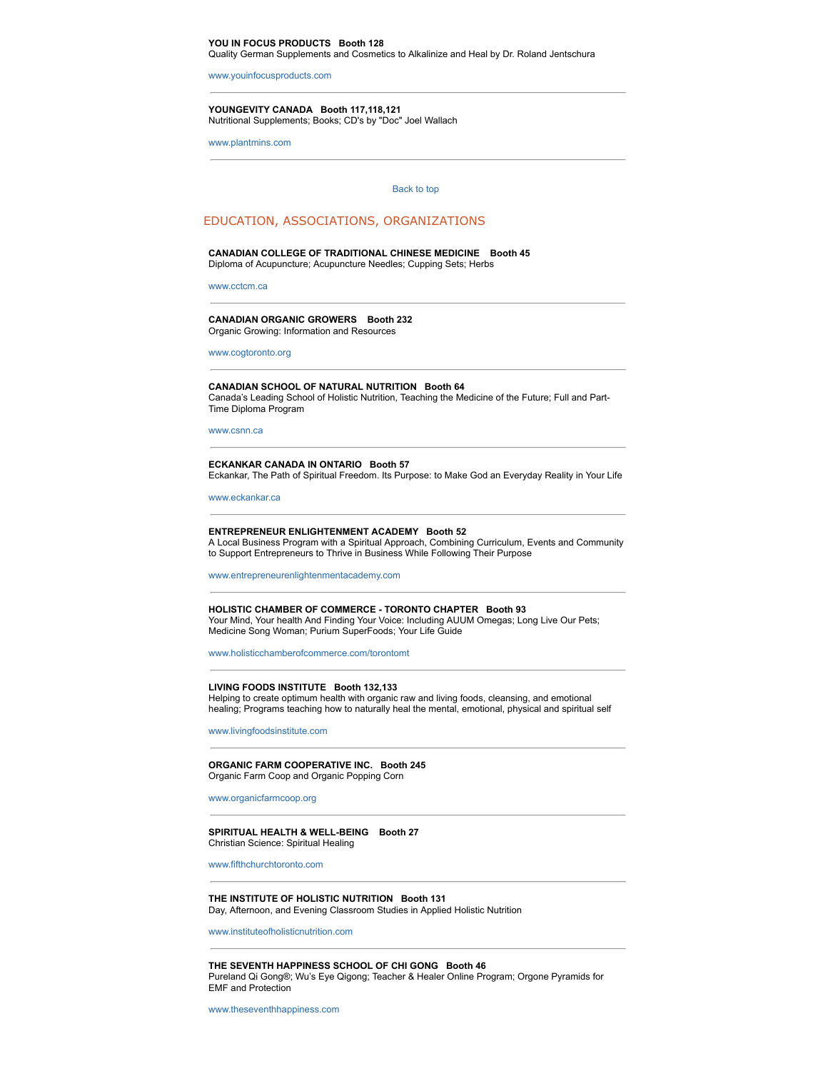#### **YOU IN FOCUS PRODUCTS Booth 128**

Quality German Supplements and Cosmetics to Alkalinize and Heal by Dr. Roland Jentschura

www.youinfocusproducts.com

**YOUNGEVITY CANADA Booth 117,118,121** Nutritional Supplements; Books; CD's by "Doc" Joel Wallach

www.plantmins.com

#### Back to top

# EDUCATION, ASSOCIATIONS, ORGANIZATIONS

# **CANADIAN COLLEGE OF TRADITIONAL CHINESE MEDICINE Booth 45**

Diploma of Acupuncture; Acupuncture Needles; Cupping Sets; Herbs

www.cctcm.ca

#### **CANADIAN ORGANIC GROWERS Booth 232** Organic Growing: Information and Resources

www.cogtoronto.org

#### **CANADIAN SCHOOL OF NATURAL NUTRITION Booth 64** Canada's Leading School of Holistic Nutrition, Teaching the Medicine of the Future; Full and Part-Time Diploma Program

www.csnn.ca

#### **ECKANKAR CANADA IN ONTARIO Booth 57**

Eckankar, The Path of Spiritual Freedom. Its Purpose: to Make God an Everyday Reality in Your Life

www.eckankar.ca

#### **ENTREPRENEUR ENLIGHTENMENT ACADEMY Booth 52**

A Local Business Program with a Spiritual Approach, Combining Curriculum, Events and Community to Support Entrepreneurs to Thrive in Business While Following Their Purpose

www.entrepreneurenlightenmentacademy.com

#### **HOLISTIC CHAMBER OF COMMERCE TORONTO CHAPTER Booth 93**

Your Mind, Your health And Finding Your Voice: Including AUUM Omegas; Long Live Our Pets; Medicine Song Woman; Purium SuperFoods; Your Life Guide

www.holisticchamberofcommerce.com/torontomt

#### **LIVING FOODS INSTITUTE Booth 132,133**

Helping to create optimum health with organic raw and living foods, cleansing, and emotional healing; Programs teaching how to naturally heal the mental, emotional, physical and spiritual self

www.livingfoodsinstitute.com

#### **ORGANIC FARM COOPERATIVE INC. Booth 245** Organic Farm Coop and Organic Popping Corn

www.organicfarmcoop.org

#### SPIRITUAL HEALTH & WELL-BEING Booth 27 Christian Science: Spiritual Healing

www.fifthchurchtoronto.com

#### **THE INSTITUTE OF HOLISTIC NUTRITION Booth 131** Day, Afternoon, and Evening Classroom Studies in Applied Holistic Nutrition

www.instituteofholisticnutrition.com

**THE SEVENTH HAPPINESS SCHOOL OF CHI GONG Booth 46** Pureland Qi Gong®; Wu's Eye Qigong; Teacher & Healer Online Program; Orgone Pyramids for EMF and Protection

www.theseventhhappiness.com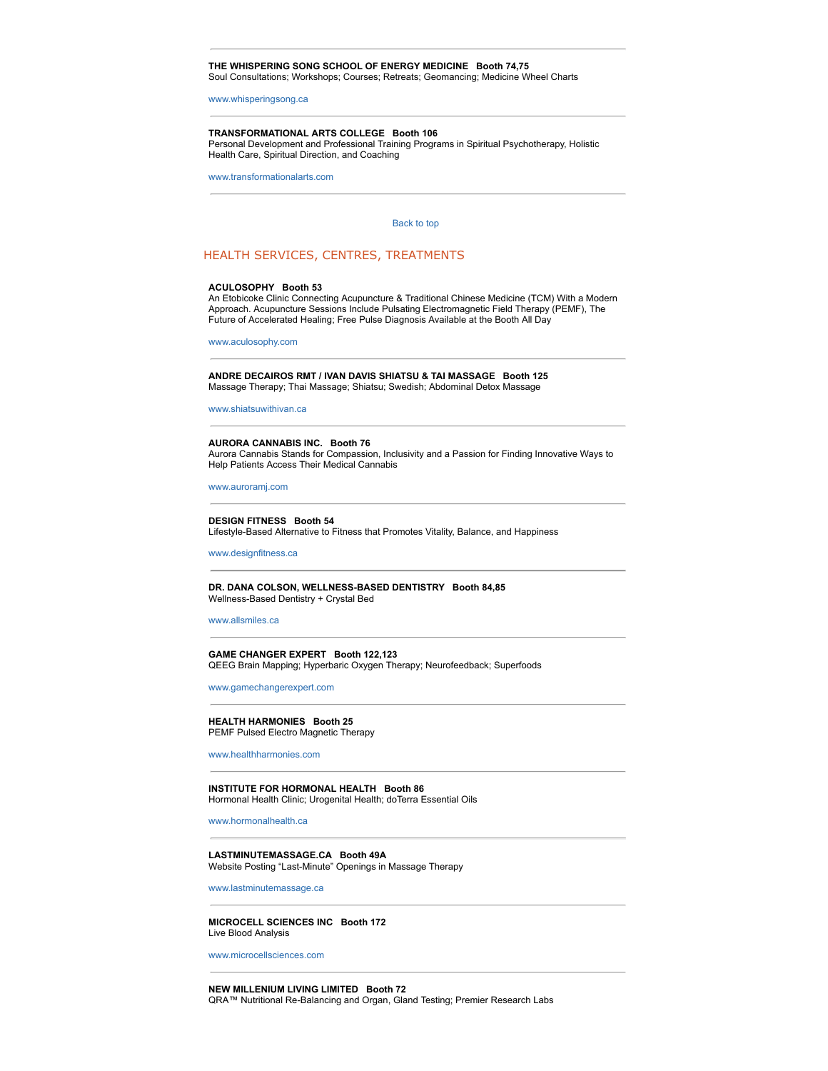#### **THE WHISPERING SONG SCHOOL OF ENERGY MEDICINE Booth 74,75**

Soul Consultations; Workshops; Courses; Retreats; Geomancing; Medicine Wheel Charts

www.whisperingsong.ca

#### **TRANSFORMATIONAL ARTS COLLEGE Booth 106**

Personal Development and Professional Training Programs in Spiritual Psychotherapy, Holistic Health Care, Spiritual Direction, and Coaching

www.transformationalarts.com

#### Back to top

# HEALTH SERVICES, CENTRES, TREATMENTS

#### **ACULOSOPHY Booth 53**

An Etobicoke Clinic Connecting Acupuncture & Traditional Chinese Medicine (TCM) With a Modern Approach. Acupuncture Sessions Include Pulsating Electromagnetic Field Therapy (PEMF), The Future of Accelerated Healing; Free Pulse Diagnosis Available at the Booth All Day

www.aculosophy.com

**ANDRE DECAIROS RMT / IVAN DAVIS SHIATSU & TAI MASSAGE Booth 125** Massage Therapy; Thai Massage; Shiatsu; Swedish; Abdominal Detox Massage

www.shiatsuwithivan.ca

#### **AURORA CANNABIS INC. Booth 76** Aurora Cannabis Stands for Compassion, Inclusivity and a Passion for Finding Innovative Ways to Help Patients Access Their Medical Cannabis

www.auroramj.com

**DESIGN FITNESS Booth 54** Lifestyle-Based Alternative to Fitness that Promotes Vitality, Balance, and Happiness

www.designfitness.ca

#### DR. DANA COLSON, WELLNESS-BASED DENTISTRY Booth 84,85 Wellness-Based Dentistry + Crystal Bed

www.allsmiles.ca

#### **GAME CHANGER EXPERT Booth 122,123** QEEG Brain Mapping; Hyperbaric Oxygen Therapy; Neurofeedback; Superfoods

www.gamechangerexpert.com

#### **HEALTH HARMONIES Booth 25** PEMF Pulsed Electro Magnetic Therapy

www.healthharmonies.com

**INSTITUTE FOR HORMONAL HEALTH Booth 86** Hormonal Health Clinic; Urogenital Health; doTerra Essential Oils

www.hormonalhealth.ca

#### **LASTMINUTEMASSAGE.CA Booth 49A** Website Posting "Last-Minute" Openings in Massage Therapy

www.lastminutemassage.ca

**MICROCELL SCIENCES INC Booth 172** Live Blood Analysis

www.microcellsciences.com

**NEW MILLENIUM LIVING LIMITED Booth 72** QRA™ Nutritional Re-Balancing and Organ, Gland Testing; Premier Research Labs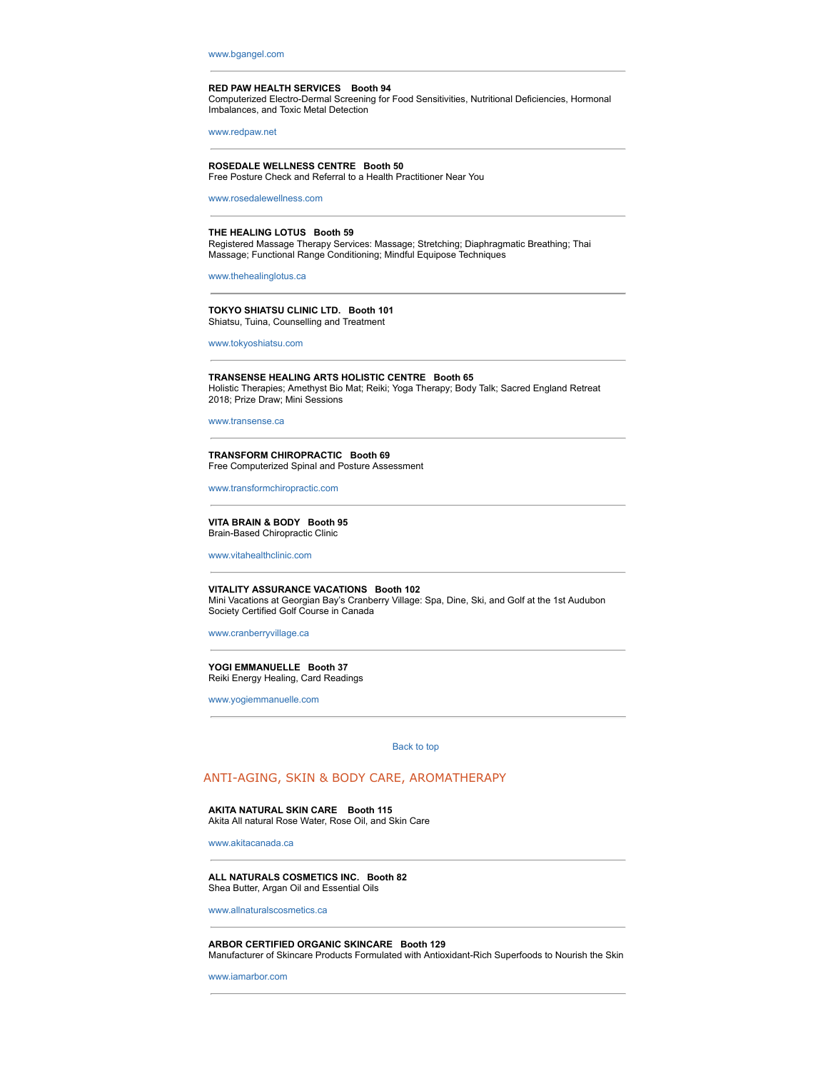www.bgangel.com

#### **RED PAW HEALTH SERVICES Booth 94**

Computerized Electro-Dermal Screening for Food Sensitivities, Nutritional Deficiencies, Hormonal Imbalances, and Toxic Metal Detection

www.redpaw.net

# **ROSEDALE WELLNESS CENTRE Booth 50**

Free Posture Check and Referral to a Health Practitioner Near You

www.rosedalewellness.com

#### **THE HEALING LOTUS Booth 59**

Registered Massage Therapy Services: Massage; Stretching; Diaphragmatic Breathing; Thai Massage; Functional Range Conditioning; Mindful Equipose Techniques

www.thehealinglotus.ca

**TOKYO SHIATSU CLINIC LTD. Booth 101** Shiatsu, Tuina, Counselling and Treatment

www.tokyoshiatsu.com

**TRANSENSE HEALING ARTS HOLISTIC CENTRE Booth 65** Holistic Therapies; Amethyst Bio Mat; Reiki; Yoga Therapy; Body Talk; Sacred England Retreat 2018; Prize Draw; Mini Sessions

www.transense.ca

**TRANSFORM CHIROPRACTIC Booth 69** Free Computerized Spinal and Posture Assessment

www.transformchiropractic.com

**VITA BRAIN & BODY Booth 95** Brain-Based Chiropractic Clinic

www.vitahealthclinic.com

#### **VITALITY ASSURANCE VACATIONS Booth 102**

Mini Vacations at Georgian Bay's Cranberry Village: Spa, Dine, Ski, and Golf at the 1st Audubon Society Certified Golf Course in Canada

www.cranberryvillage.ca

#### **YOGI EMMANUELLE Booth 37** Reiki Energy Healing, Card Readings

www.yogiemmanuelle.com

Back to top

# ANTI-AGING, SKIN & BODY CARE, AROMATHERAPY

#### **AKITA NATURAL SKIN CARE Booth 115** Akita All natural Rose Water, Rose Oil, and Skin Care

www.akitacanada.ca

#### **ALL NATURALS COSMETICS INC. Booth 82** Shea Butter, Argan Oil and Essential Oils

www.allnaturalscosmetics.ca

#### **ARBOR CERTIFIED ORGANIC SKINCARE Booth 129**

Manufacturer of Skincare Products Formulated with Antioxidant-Rich Superfoods to Nourish the Skin

www.iamarbor.com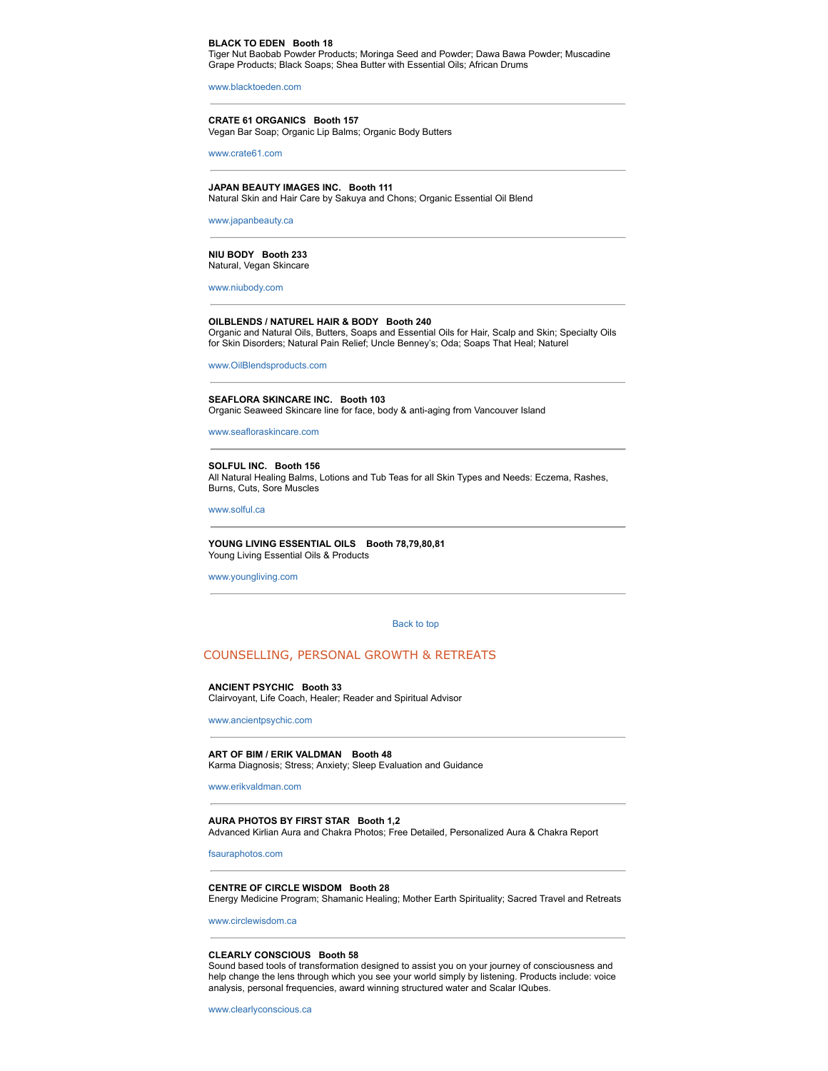#### **BLACK TO EDEN Booth 18**

Tiger Nut Baobab Powder Products; Moringa Seed and Powder; Dawa Bawa Powder; Muscadine Grape Products; Black Soaps; Shea Butter with Essential Oils; African Drums

www.blacktoeden.com

**CRATE 61 ORGANICS Booth 157** Vegan Bar Soap; Organic Lip Balms; Organic Body Butters

www.crate61.com

#### **JAPAN BEAUTY IMAGES INC. Booth 111** Natural Skin and Hair Care by Sakuya and Chons; Organic Essential Oil Blend

www.japanbeauty.ca

#### **NIU BODY Booth 233** Natural, Vegan Skincare

www.niubody.com

#### **OILBLENDS / NATUREL HAIR & BODY Booth 240**

Organic and Natural Oils, Butters, Soaps and Essential Oils for Hair, Scalp and Skin; Specialty Oils for Skin Disorders; Natural Pain Relief; Uncle Benney's; Oda; Soaps That Heal; Naturel

www.OilBlendsproducts.com

**SEAFLORA SKINCARE INC. Booth 103** Organic Seaweed Skincare line for face, body & anti-aging from Vancouver Island

www.seafloraskincare.com

**SOLFUL INC. Booth 156** All Natural Healing Balms, Lotions and Tub Teas for all Skin Types and Needs: Eczema, Rashes, Burns, Cuts, Sore Muscles

www.solful.ca

#### **YOUNG LIVING ESSENTIAL OILS Booth 78,79,80,81** Young Living Essential Oils & Products

www.youngliving.com

#### Back to top

# COUNSELLING, PERSONAL GROWTH & RETREATS

#### **ANCIENT PSYCHIC Booth 33**

Clairvoyant, Life Coach, Healer; Reader and Spiritual Advisor

www.ancientpsychic.com

#### **ART OF BIM / ERIK VALDMAN Booth 48**

Karma Diagnosis; Stress; Anxiety; Sleep Evaluation and Guidance

www.erikvaldman.com

#### **AURA PHOTOS BY FIRST STAR Booth 1,2**

Advanced Kirlian Aura and Chakra Photos; Free Detailed, Personalized Aura & Chakra Report

fsauraphotos.com

#### **CENTRE OF CIRCLE WISDOM Booth 28**

Energy Medicine Program; Shamanic Healing; Mother Earth Spirituality; Sacred Travel and Retreats

www.circlewisdom.ca

#### **CLEARLY CONSCIOUS Booth 58**

Sound based tools of transformation designed to assist you on your journey of consciousness and help change the lens through which you see your world simply by listening. Products include: voice analysis, personal frequencies, award winning structured water and Scalar IQubes.

www.clearlyconscious.ca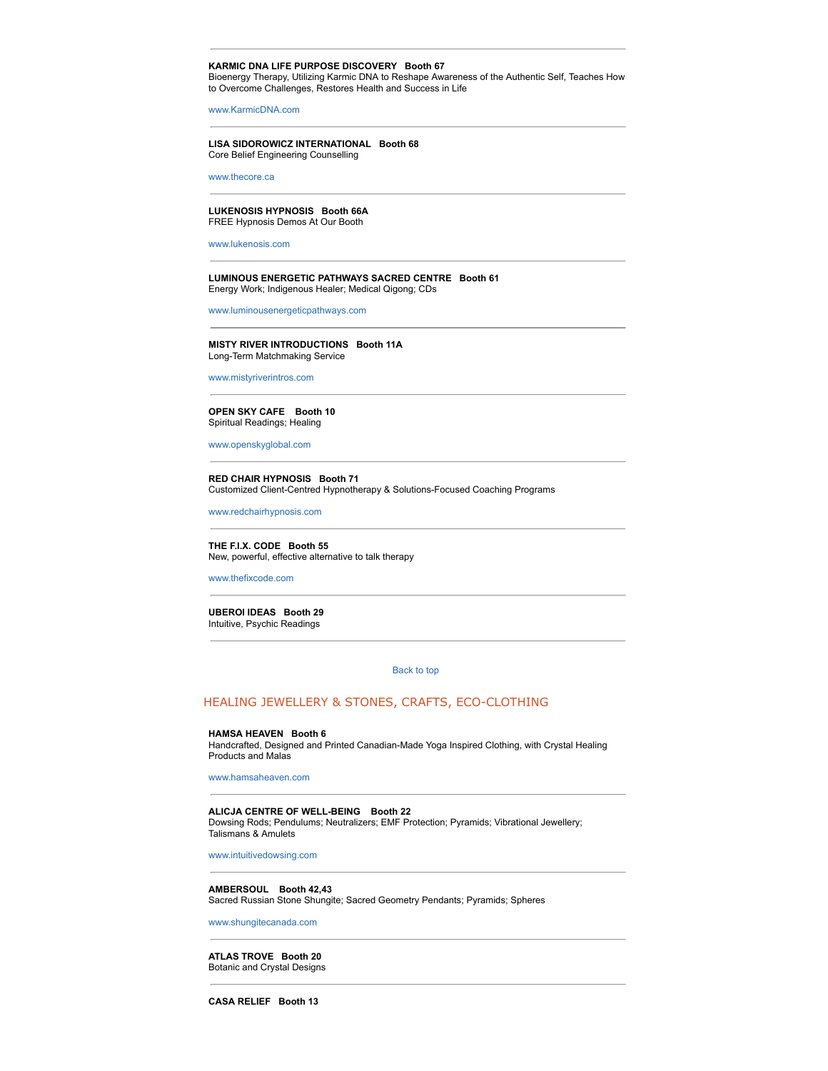#### **KARMIC DNA LIFE PURPOSE DISCOVERY Booth 67**

Bioenergy Therapy, Utilizing Karmic DNA to Reshape Awareness of the Authentic Self, Teaches How to Overcome Challenges, Restores Health and Success in Life

www.KarmicDNA.com

#### **LISA SIDOROWICZ INTERNATIONAL Booth 68** Core Belief Engineering Counselling

www.thecore.ca

#### **LUKENOSIS HYPNOSIS Booth 66A** FREE Hypnosis Demos At Our Booth

www.lukenosis.com

#### **LUMINOUS ENERGETIC PATHWAYS SACRED CENTRE Booth 61** Energy Work; Indigenous Healer; Medical Qigong; CDs

www.luminousenergeticpathways.com

# **MISTY RIVER INTRODUCTIONS Booth 11A** Long-Term Matchmaking Service

www.mistyriverintros.com

#### **OPEN SKY CAFE Booth 10** Spiritual Readings; Healing

www.openskyglobal.com

#### **RED CHAIR HYPNOSIS Booth 71** Customized Client-Centred Hypnotherapy & Solutions-Focused Coaching Programs

www.redchairhypnosis.com

#### **THE F.I.X. CODE Booth 55** New, powerful, effective alternative to talk therapy

www.thefixcode.com

#### **UBEROI IDEAS Booth 29** Intuitive, Psychic Readings

#### Back to top

# HEALING JEWELLERY & STONES, CRAFTS, ECO-CLOTHING

#### **HAMSA HEAVEN Booth 6**

Handcrafted, Designed and Printed Canadian-Made Yoga Inspired Clothing, with Crystal Healing Products and Malas

www.hamsaheaven.com

#### **ALICJA CENTRE OF WELL-BEING Booth 22**

Dowsing Rods; Pendulums; Neutralizers; EMF Protection; Pyramids; Vibrational Jewellery; Talismans & Amulets

www.intuitivedowsing.com

#### **AMBERSOUL Booth 42,43**  Sacred Russian Stone Shungite; Sacred Geometry Pendants; Pyramids; Spheres

www.shungitecanada.com

#### **ATLAS TROVE Booth 20**

Botanic and Crystal Designs

**CASA RELIEF Booth 13**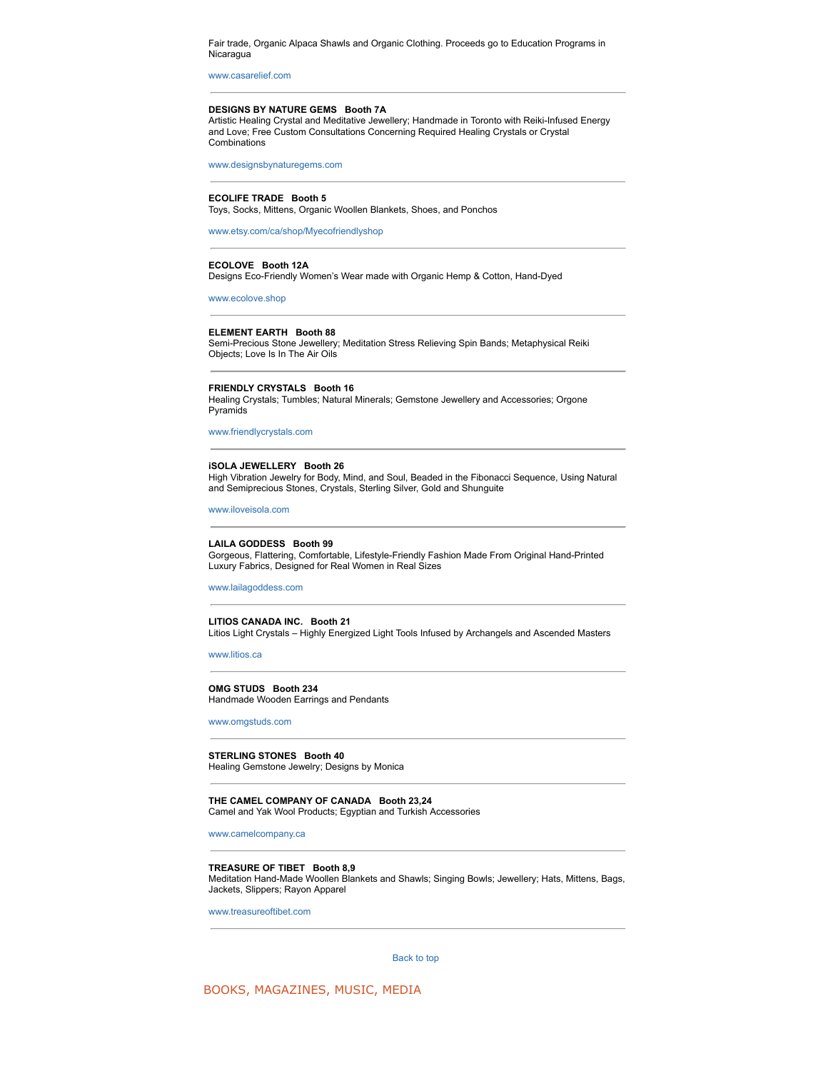Fair trade, Organic Alpaca Shawls and Organic Clothing. Proceeds go to Education Programs in Nicaragua

www.casarelief.com

#### **DESIGNS BY NATURE GEMS Booth 7A**

Artistic Healing Crystal and Meditative Jewellery; Handmade in Toronto with Reiki-Infused Energy and Love; Free Custom Consultations Concerning Required Healing Crystals or Crystal Combinations

www.designsbynaturegems.com

#### **ECOLIFE TRADE Booth 5**

Toys, Socks, Mittens, Organic Woollen Blankets, Shoes, and Ponchos

www.etsy.com/ca/shop/Myecofriendlyshop

#### **ECOLOVE Booth 12A**

Designs Eco-Friendly Women's Wear made with Organic Hemp & Cotton, Hand-Dyed

www.ecolove.shop

#### **ELEMENT EARTH Booth 88**

Semi-Precious Stone Jewellery; Meditation Stress Relieving Spin Bands; Metaphysical Reiki Objects; Love Is In The Air Oils

#### **FRIENDLY CRYSTALS Booth 16**

Healing Crystals; Tumbles; Natural Minerals; Gemstone Jewellery and Accessories; Orgone Pyramids

www.friendlycrystals.com

#### **iSOLA JEWELLERY Booth 26**

High Vibration Jewelry for Body, Mind, and Soul, Beaded in the Fibonacci Sequence, Using Natural and Semiprecious Stones, Crystals, Sterling Silver, Gold and Shunguite

www.iloveisola.com

#### **LAILA GODDESS Booth 99**

Gorgeous, Flattering, Comfortable, Lifestyle-Friendly Fashion Made From Original Hand-Printed Luxury Fabrics, Designed for Real Women in Real Sizes

www.lailagoddess.com

#### **LITIOS CANADA INC. Booth 21** Litios Light Crystals – Highly Energized Light Tools Infused by Archangels and Ascended Masters

www.litios.ca

#### **OMG STUDS Booth 234** Handmade Wooden Earrings and Pendants

www.omgstuds.com

#### **STERLING STONES Booth 40** Healing Gemstone Jewelry; Designs by Monica

**THE CAMEL COMPANY OF CANADA Booth 23,24** Camel and Yak Wool Products; Egyptian and Turkish Accessories

www.camelcompany.ca

#### **TREASURE OF TIBET Booth 8,9**

Meditation Hand-Made Woollen Blankets and Shawls; Singing Bowls; Jewellery; Hats, Mittens, Bags, Jackets, Slippers; Rayon Apparel

www.treasureoftibet.com

Back to top

BOOKS, MAGAZINES, MUSIC, MEDIA